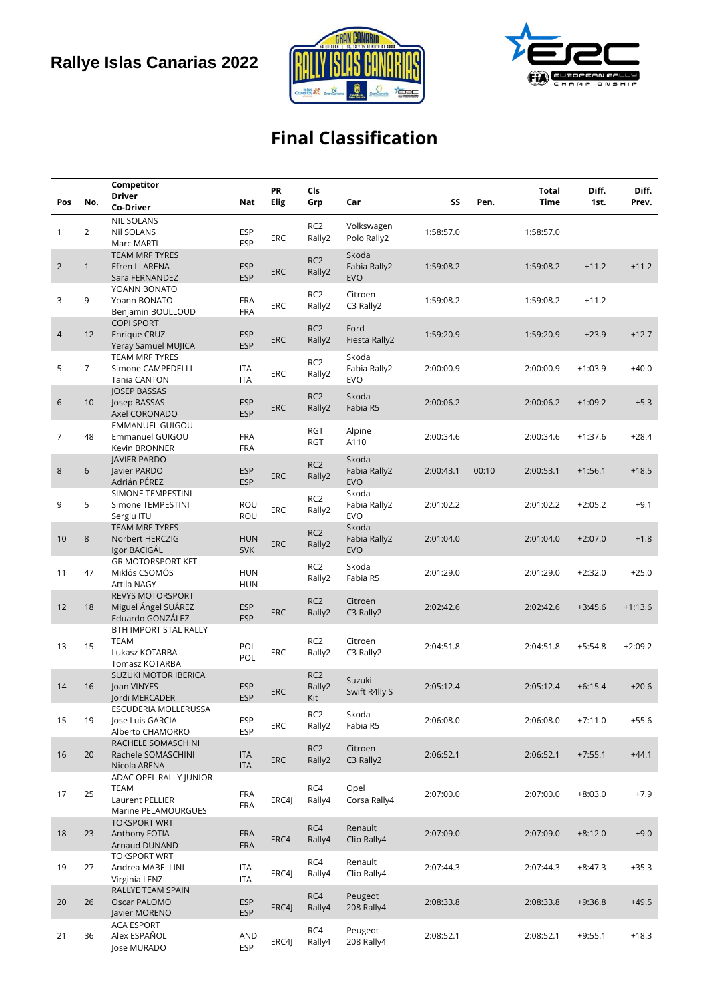



# **Final Classification**

|                |                | Competitor                               |                          | PR         | Cls                       |                            |           |       | <b>Total</b> | Diff.     | Diff.     |
|----------------|----------------|------------------------------------------|--------------------------|------------|---------------------------|----------------------------|-----------|-------|--------------|-----------|-----------|
| Pos            | No.            | <b>Driver</b>                            | Nat                      | Elig       | Grp                       | Car                        | SS        | Pen.  | Time         | 1st.      | Prev.     |
|                |                | Co-Driver<br><b>NIL SOLANS</b>           |                          |            |                           |                            |           |       |              |           |           |
| 1              | 2              | Nil SOLANS                               | <b>ESP</b>               |            | RC <sub>2</sub>           | Volkswagen                 | 1:58:57.0 |       | 1:58:57.0    |           |           |
|                |                | Marc MARTI                               | <b>ESP</b>               | ERC        | Rally2                    | Polo Rally2                |           |       |              |           |           |
|                |                | <b>TEAM MRF TYRES</b>                    |                          |            | RC <sub>2</sub>           | Skoda                      |           |       |              |           |           |
| $\overline{2}$ | $\mathbf{1}$   | Efren LLARENA                            | <b>ESP</b>               | ERC        | Rally2                    | Fabia Rally2               | 1:59:08.2 |       | 1:59:08.2    | $+11.2$   | $+11.2$   |
|                |                | Sara FERNANDEZ                           | <b>ESP</b>               |            |                           | <b>EVO</b>                 |           |       |              |           |           |
|                |                | YOANN BONATO                             |                          |            | RC <sub>2</sub>           | Citroen                    |           |       |              |           |           |
| 3              | 9              | Yoann BONATO                             | <b>FRA</b><br><b>FRA</b> | <b>ERC</b> | Rally2                    | C3 Rally2                  | 1:59:08.2 |       | 1:59:08.2    | $+11.2$   |           |
|                |                | Benjamin BOULLOUD<br><b>COPI SPORT</b>   |                          |            |                           |                            |           |       |              |           |           |
| $\overline{4}$ | 12             | Enrique CRUZ                             | <b>ESP</b>               |            | RC <sub>2</sub>           | Ford                       | 1:59:20.9 |       | 1:59:20.9    | $+23.9$   | $+12.7$   |
|                |                | Yeray Samuel MUJICA                      | <b>ESP</b>               | <b>ERC</b> | Rally2                    | Fiesta Rally2              |           |       |              |           |           |
|                |                | <b>TEAM MRF TYRES</b>                    |                          |            | RC <sub>2</sub>           | Skoda                      |           |       |              |           |           |
| 5              | $\overline{7}$ | Simone CAMPEDELLI                        | <b>ITA</b>               | <b>ERC</b> | Rally2                    | Fabia Rally2               | 2:00:00.9 |       | 2:00:00.9    | $+1:03.9$ | $+40.0$   |
|                |                | Tania CANTON                             | <b>ITA</b>               |            |                           | <b>EVO</b>                 |           |       |              |           |           |
| 6              | 10             | <b>JOSEP BASSAS</b><br>Josep BASSAS      | <b>ESP</b>               |            | RC <sub>2</sub>           | Skoda                      | 2:00:06.2 |       | 2:00:06.2    | $+1:09.2$ | $+5.3$    |
|                |                | Axel CORONADO                            | <b>ESP</b>               | <b>ERC</b> | Rally2                    | Fabia R5                   |           |       |              |           |           |
|                |                | <b>EMMANUEL GUIGOU</b>                   |                          |            |                           |                            |           |       |              |           |           |
| 7              | 48             | Emmanuel GUIGOU                          | <b>FRA</b>               |            | RGT<br><b>RGT</b>         | Alpine<br>A110             | 2:00:34.6 |       | 2:00:34.6    | $+1:37.6$ | $+28.4$   |
|                |                | Kevin BRONNER                            | FRA                      |            |                           |                            |           |       |              |           |           |
|                | 6              | <b>JAVIER PARDO</b>                      |                          |            | RC <sub>2</sub>           | Skoda                      |           |       |              |           |           |
| 8              |                | Javier PARDO<br>Adrián PÉREZ             | <b>ESP</b><br><b>ESP</b> | <b>ERC</b> | Rally2                    | Fabia Rally2<br><b>EVO</b> | 2:00:43.1 | 00:10 | 2:00:53.1    | $+1:56.1$ | $+18.5$   |
|                |                | SIMONE TEMPESTINI                        |                          |            |                           | Skoda                      |           |       |              |           |           |
| 9              | 5              | Simone TEMPESTINI                        | ROU                      |            | RC <sub>2</sub>           | Fabia Rally2               | 2:01:02.2 |       | 2:01:02.2    | $+2:05.2$ | $+9.1$    |
|                |                | Sergiu ITU                               | ROU                      | <b>ERC</b> | Rally2                    | <b>EVO</b>                 |           |       |              |           |           |
|                |                | <b>TEAM MRF TYRES</b>                    |                          |            | RC <sub>2</sub>           | Skoda                      |           |       |              |           |           |
| 10             | 8              | Norbert HERCZIG                          | <b>HUN</b>               | ERC        | Rally2                    | Fabia Rally2               | 2:01:04.0 |       | 2:01:04.0    | $+2:07.0$ | $+1.8$    |
|                |                | Igor BACIGÁL<br><b>GR MOTORSPORT KFT</b> | <b>SVK</b>               |            |                           | <b>EVO</b>                 |           |       |              |           |           |
| 11             | 47             | Miklós CSOMÓS                            | <b>HUN</b>               |            | RC <sub>2</sub>           | Skoda                      | 2:01:29.0 |       | 2:01:29.0    | $+2:32.0$ | $+25.0$   |
|                |                | <b>Attila NAGY</b>                       | <b>HUN</b>               |            | Rally2                    | Fabia R5                   |           |       |              |           |           |
|                |                | <b>REVYS MOTORSPORT</b>                  |                          |            | RC <sub>2</sub>           | Citroen                    |           |       |              |           |           |
| 12             | 18             | Miguel Ángel SUÁREZ                      | <b>ESP</b>               | <b>ERC</b> | Rally2                    | C3 Rally2                  | 2:02:42.6 |       | 2:02:42.6    | $+3:45.6$ | $+1:13.6$ |
|                |                | Eduardo GONZÁLEZ                         | <b>ESP</b>               |            |                           |                            |           |       |              |           |           |
|                |                | BTH IMPORT STAL RALLY<br><b>TEAM</b>     |                          |            | RC <sub>2</sub>           | Citroen                    |           |       |              |           |           |
| 13             | 15             | Lukasz KOTARBA                           | POL                      | <b>ERC</b> | Rally2                    | C3 Rally2                  | 2:04:51.8 |       | 2:04:51.8    | $+5:54.8$ | $+2:09.2$ |
|                |                | <b>Tomasz KOTARBA</b>                    | POL                      |            |                           |                            |           |       |              |           |           |
|                |                | SUZUKI MOTOR IBERICA                     |                          |            | RC <sub>2</sub>           | Suzuki                     |           |       |              |           |           |
| 14             | 16             | Joan VINYES                              | <b>ESP</b>               | <b>ERC</b> | Rally2                    | Swift R4lly S              | 2:05:12.4 |       | 2:05:12.4    | $+6:15.4$ | $+20.6$   |
|                |                | Jordi MERCADER                           | <b>ESP</b>               |            | Kit                       |                            |           |       |              |           |           |
| 15             | 19             | ESCUDERIA MOLLERUSSA<br>Jose Luis GARCIA | <b>ESP</b>               |            | RC <sub>2</sub>           | Skoda                      | 2:06:08.0 |       | 2:06:08.0    | $+7:11.0$ | $+55.6$   |
|                |                | Alberto CHAMORRO                         | <b>ESP</b>               | ERC        | Rally2                    | Fabia R5                   |           |       |              |           |           |
|                |                | RACHELE SOMASCHINI                       |                          |            |                           |                            |           |       |              |           |           |
| 16             | 20             | Rachele SOMASCHINI                       | <b>ITA</b>               | <b>ERC</b> | RC <sub>2</sub><br>Rally2 | Citroen<br>C3 Rally2       | 2:06:52.1 |       | 2:06:52.1    | $+7:55.1$ | $+44.1$   |
|                |                | Nicola ARENA                             | <b>ITA</b>               |            |                           |                            |           |       |              |           |           |
|                |                | ADAC OPEL RALLY JUNIOR                   |                          |            |                           |                            |           |       |              |           |           |
| 17             | 25             | <b>TEAM</b><br>Laurent PELLIER           | <b>FRA</b>               | ERC4J      | RC4<br>Rally4             | Opel<br>Corsa Rally4       | 2:07:00.0 |       | 2:07:00.0    | $+8:03.0$ | $+7.9$    |
|                |                | Marine PELAMOURGUES                      | <b>FRA</b>               |            |                           |                            |           |       |              |           |           |
|                |                | <b>TOKSPORT WRT</b>                      |                          |            |                           |                            |           |       |              |           |           |
| 18             | 23             | Anthony FOTIA                            | <b>FRA</b>               | ERC4       | RC4<br>Rally4             | Renault<br>Clio Rally4     | 2:07:09.0 |       | 2:07:09.0    | $+8:12.0$ | $+9.0$    |
|                |                | Arnaud DUNAND                            | <b>FRA</b>               |            |                           |                            |           |       |              |           |           |
|                |                | <b>TOKSPORT WRT</b>                      |                          |            | RC4                       | Renault                    |           |       |              |           |           |
| 19             | 27             | Andrea MABELLINI                         | <b>ITA</b>               | ERC4J      | Rally4                    | Clio Rally4                | 2:07:44.3 |       | 2:07:44.3    | $+8:47.3$ | $+35.3$   |
|                |                | Virginia LENZI<br>RALLYE TEAM SPAIN      | <b>ITA</b>               |            |                           |                            |           |       |              |           |           |
| 20             | 26             | Oscar PALOMO                             | <b>ESP</b>               |            | RC4                       | Peugeot                    | 2:08:33.8 |       | 2:08:33.8    | $+9:36.8$ | $+49.5$   |
|                |                | Javier MORENO                            | <b>ESP</b>               | ERC4J      | Rally4                    | 208 Rally4                 |           |       |              |           |           |
|                |                | <b>ACA ESPORT</b>                        |                          |            | RC4                       | Peugeot                    |           |       |              |           |           |
| 21             | 36             | Alex ESPAÑOL                             | AND                      | ERC4J      | Rally4                    | 208 Rally4                 | 2:08:52.1 |       | 2:08:52.1    | $+9:55.1$ | $+18.3$   |
|                |                | Jose MURADO                              | <b>ESP</b>               |            |                           |                            |           |       |              |           |           |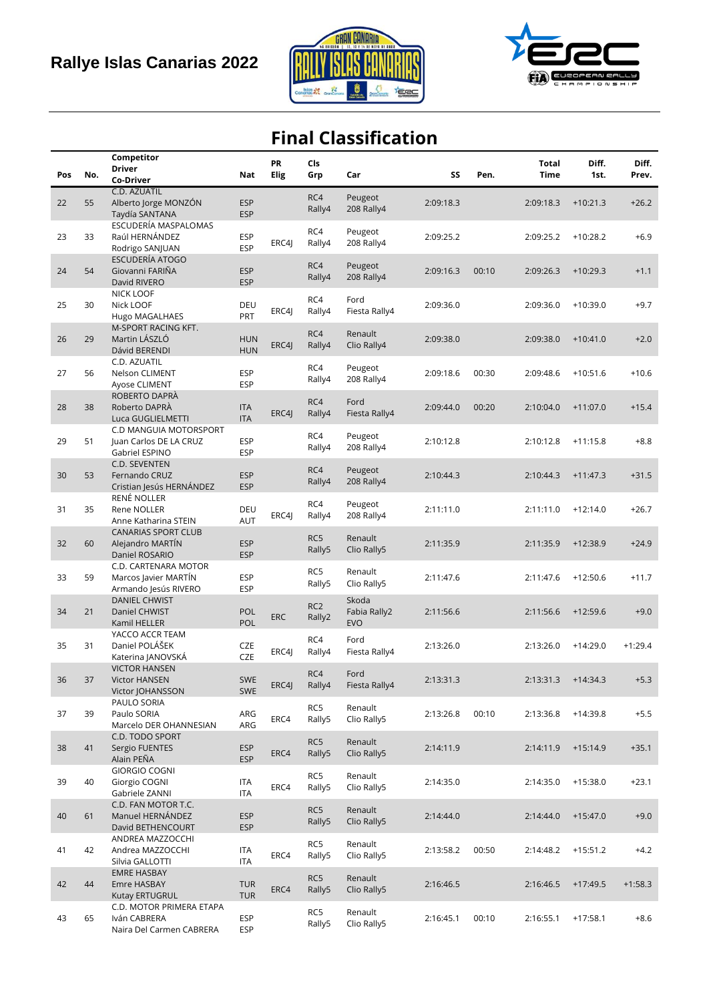



## **Final Classification**

|     |     | Competitor                               |                          | <b>PR</b>   | Cls             |               |           |       | <b>Total</b> | Diff.      | Diff.     |
|-----|-----|------------------------------------------|--------------------------|-------------|-----------------|---------------|-----------|-------|--------------|------------|-----------|
| Pos | No. | <b>Driver</b>                            | Nat                      | <b>Elig</b> | Grp             | Car           | SS        | Pen.  | <b>Time</b>  | 1st.       | Prev.     |
|     |     | Co-Driver                                |                          |             |                 |               |           |       |              |            |           |
|     |     | C.D. AZUATIL                             |                          |             | RC4             | Peugeot       |           |       |              |            |           |
| 22  | 55  | Alberto Jorge MONZÓN                     | <b>ESP</b>               |             | Rally4          | 208 Rally4    | 2:09:18.3 |       | 2:09:18.3    | $+10:21.3$ | $+26.2$   |
|     |     | Taydía SANTANA                           | <b>ESP</b>               |             |                 |               |           |       |              |            |           |
|     |     | ESCUDERÍA MASPALOMAS                     |                          |             | RC4             | Peugeot       |           |       |              |            |           |
| 23  | 33  | Raúl HERNÁNDEZ                           | <b>ESP</b>               | ERC4J       | Rally4          | 208 Rally4    | 2:09:25.2 |       | 2:09:25.2    | $+10:28.2$ | $+6.9$    |
|     |     | Rodrigo SANJUAN                          | <b>ESP</b>               |             |                 |               |           |       |              |            |           |
|     |     | ESCUDERÍA ATOGO                          |                          |             | RC4             | Peugeot       |           |       |              |            |           |
| 24  | 54  | Giovanni FARIÑA                          | <b>ESP</b>               |             | Rally4          | 208 Rally4    | 2:09:16.3 | 00:10 | 2:09:26.3    | $+10:29.3$ | $+1.1$    |
|     |     | David RIVERO                             | <b>ESP</b>               |             |                 |               |           |       |              |            |           |
|     |     | <b>NICK LOOF</b>                         |                          |             | RC4             | Ford          |           |       |              |            |           |
| 25  | 30  | Nick LOOF                                | DEU                      | ERC4J       | Rally4          | Fiesta Rally4 | 2:09:36.0 |       | 2:09:36.0    | $+10:39.0$ | $+9.7$    |
|     |     | Hugo MAGALHAES                           | PRT                      |             |                 |               |           |       |              |            |           |
|     |     | M-SPORT RACING KFT.                      |                          |             | RC4             | Renault       |           |       |              |            |           |
| 26  | 29  | Martin LÁSZLÓ                            | <b>HUN</b>               | ERC4J       | Rally4          | Clio Rally4   | 2:09:38.0 |       | 2:09:38.0    | $+10:41.0$ | $+2.0$    |
|     |     | Dávid BERENDI                            | <b>HUN</b>               |             |                 |               |           |       |              |            |           |
|     |     | C.D. AZUATIL                             |                          |             | RC4             | Peugeot       |           |       |              |            | $+10.6$   |
| 27  | 56  | Nelson CLIMENT                           | <b>ESP</b><br><b>ESP</b> |             | Rally4          | 208 Rally4    | 2:09:18.6 | 00:30 | 2:09:48.6    | $+10:51.6$ |           |
|     |     | Ayose CLIMENT<br>ROBERTO DAPRÀ           |                          |             |                 |               |           |       |              |            |           |
| 28  | 38  | Roberto DAPRÀ                            | <b>ITA</b>               |             | RC4             | Ford          | 2:09:44.0 | 00:20 | 2:10:04.0    | $+11:07.0$ | $+15.4$   |
|     |     | Luca GUGLIELMETTI                        | <b>ITA</b>               | ERC4J       | Rally4          | Fiesta Rally4 |           |       |              |            |           |
|     |     | C.D MANGUIA MOTORSPORT                   |                          |             |                 |               |           |       |              |            |           |
| 29  | 51  | Juan Carlos DE LA CRUZ                   | <b>ESP</b>               |             | RC4             | Peugeot       | 2:10:12.8 |       | 2:10:12.8    | $+11:15.8$ | $+8.8$    |
|     |     | Gabriel ESPINO                           | <b>ESP</b>               |             | Rally4          | 208 Rally4    |           |       |              |            |           |
|     |     | C.D. SEVENTEN                            |                          |             |                 |               |           |       |              |            |           |
| 30  | 53  | Fernando CRUZ                            | <b>ESP</b>               |             | RC4             | Peugeot       | 2:10:44.3 |       | 2:10:44.3    | $+11:47.3$ | $+31.5$   |
|     |     | Cristian Jesús HERNÁNDEZ                 | <b>ESP</b>               |             | Rally4          | 208 Rally4    |           |       |              |            |           |
|     |     | RENÉ NOLLER                              |                          |             |                 |               |           |       |              |            |           |
| 31  | 35  | Rene NOLLER                              | DEU                      |             | RC4             | Peugeot       | 2:11:11.0 |       | 2:11:11.0    | $+12:14.0$ | $+26.7$   |
|     |     | Anne Katharina STEIN                     | AUT                      | ERC4I       | Rally4          | 208 Rally4    |           |       |              |            |           |
|     |     | <b>CANARIAS SPORT CLUB</b>               |                          |             |                 |               |           |       |              |            |           |
| 32  | 60  | Alejandro MARTÍN                         | <b>ESP</b>               |             | RC5             | Renault       | 2:11:35.9 |       | 2:11:35.9    | $+12:38.9$ | $+24.9$   |
|     |     | Daniel ROSARIO                           | <b>ESP</b>               |             | Rally5          | Clio Rally5   |           |       |              |            |           |
|     |     | C.D. CARTENARA MOTOR                     |                          |             |                 |               |           |       |              |            |           |
| 33  | 59  | Marcos Javier MARTÍN                     | <b>ESP</b>               |             | RC5             | Renault       | 2:11:47.6 |       | 2:11:47.6    | $+12:50.6$ | $+11.7$   |
|     |     | Armando Jesús RIVERO                     | <b>ESP</b>               |             | Rally5          | Clio Rally5   |           |       |              |            |           |
|     |     | <b>DANIEL CHWIST</b>                     |                          |             |                 | Skoda         |           |       |              |            |           |
| 34  | 21  | Daniel CHWIST                            | POL                      |             | RC <sub>2</sub> | Fabia Rally2  | 2:11:56.6 |       | 2:11:56.6    | $+12:59.6$ | $+9.0$    |
|     |     | Kamil HELLER                             | POL                      | <b>ERC</b>  | Rally2          | <b>EVO</b>    |           |       |              |            |           |
|     |     | YACCO ACCR TEAM                          |                          |             |                 |               |           |       |              |            |           |
| 35  | 31  | Daniel POLÁŠEK                           | CZE                      |             | RC4             | Ford          | 2:13:26.0 |       | 2:13:26.0    | $+14:29.0$ | $+1:29.4$ |
|     |     | Katerina JANOVSKÁ                        | <b>CZE</b>               | ERC4J       | Rally4          | Fiesta Rally4 |           |       |              |            |           |
|     |     | <b>VICTOR HANSEN</b>                     |                          |             |                 |               |           |       |              |            |           |
| 36  | 37  | <b>Victor HANSEN</b>                     | <b>SWE</b>               |             | RC4             | Ford          | 2:13:31.3 |       | 2:13:31.3    | $+14:34.3$ | $+5.3$    |
|     |     | Victor JOHANSSON                         | <b>SWE</b>               | ERC4J       | Rally4          | Fiesta Rally4 |           |       |              |            |           |
|     |     | PAULO SORIA                              |                          |             | RC5             | Renault       |           |       |              |            |           |
| 37  | 39  | Paulo SORIA                              | ARG                      | ERC4        | Rally5          | Clio Rally5   | 2:13:26.8 | 00:10 | 2:13:36.8    | $+14:39.8$ | $+5.5$    |
|     |     | Marcelo DER OHANNESIAN                   | ARG                      |             |                 |               |           |       |              |            |           |
|     |     | C.D. TODO SPORT                          |                          |             | RC5             | Renault       |           |       |              |            |           |
| 38  | 41  | Sergio FUENTES                           | <b>ESP</b>               | ERC4        | Rally5          | Clio Rally5   | 2:14:11.9 |       | 2:14:11.9    | $+15:14.9$ | $+35.1$   |
|     |     | Alain PEÑA                               | <b>ESP</b>               |             |                 |               |           |       |              |            |           |
|     |     | <b>GIORGIO COGNI</b>                     |                          |             | RC5             | Renault       |           |       |              |            |           |
| 39  | 40  | Giorgio COGNI                            | <b>ITA</b>               | ERC4        | Rally5          | Clio Rally5   | 2:14:35.0 |       | 2:14:35.0    | $+15:38.0$ | $+23.1$   |
|     |     | Gabriele ZANNI                           | <b>ITA</b>               |             |                 |               |           |       |              |            |           |
|     |     | C.D. FAN MOTOR T.C.                      |                          |             | RC5             | Renault       |           |       |              |            |           |
| 40  | 61  | Manuel HERNÁNDEZ                         | <b>ESP</b>               |             | Rally5          | Clio Rally5   | 2:14:44.0 |       | 2:14:44.0    | $+15:47.0$ | $+9.0$    |
|     |     | David BETHENCOURT                        | <b>ESP</b>               |             |                 |               |           |       |              |            |           |
|     |     | ANDREA MAZZOCCHI                         |                          |             | RC5             | Renault       |           |       |              |            |           |
| 41  | 42  | Andrea MAZZOCCHI                         | ITA                      | ERC4        | Rally5          | Clio Rally5   | 2:13:58.2 | 00:50 | 2:14:48.2    | $+15:51.2$ | $+4.2$    |
|     |     | Silvia GALLOTTI                          | ITA                      |             |                 |               |           |       |              |            |           |
|     |     | <b>EMRE HASBAY</b>                       |                          |             | RC5             | Renault       |           |       |              |            |           |
| 42  | 44  | Emre HASBAY                              | <b>TUR</b>               | ERC4        | Rally5          | Clio Rally5   | 2:16:46.5 |       | 2:16:46.5    | $+17:49.5$ | $+1:58.3$ |
|     |     | Kutay ERTUGRUL                           | <b>TUR</b>               |             |                 |               |           |       |              |            |           |
|     |     | C.D. MOTOR PRIMERA ETAPA                 |                          |             | RC5             | Renault       |           |       |              |            |           |
| 43  | 65  | Iván CABRERA<br>Naira Del Carmen CABRERA | ESP<br><b>ESP</b>        |             | Rally5          | Clio Rally5   | 2:16:45.1 | 00:10 | 2:16:55.1    | $+17:58.1$ | $+8.6$    |
|     |     |                                          |                          |             |                 |               |           |       |              |            |           |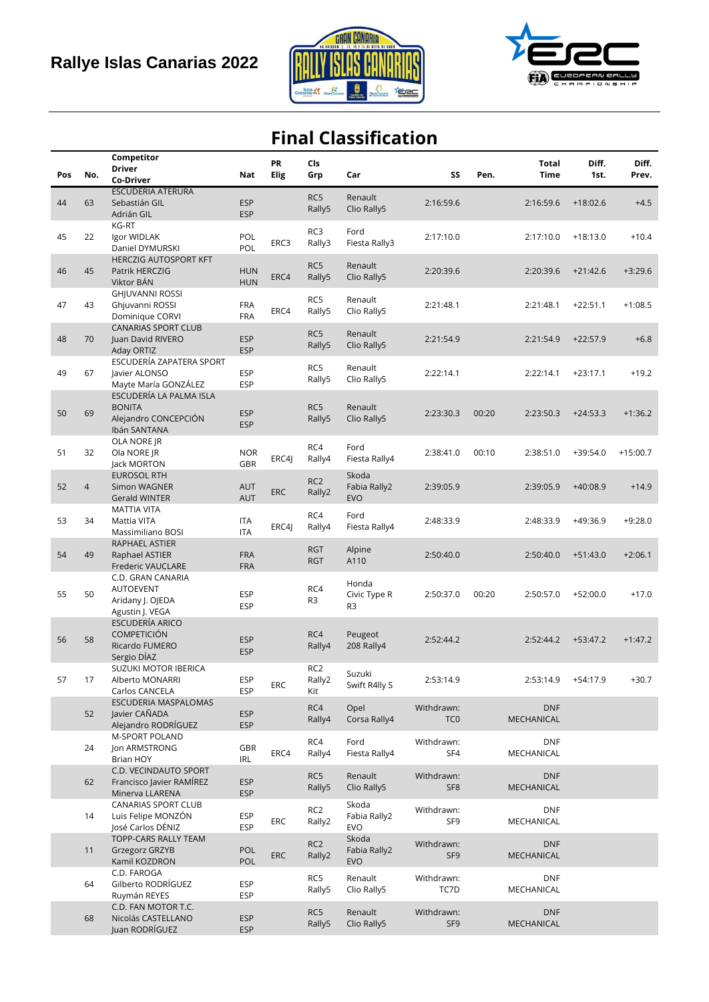



## **Final Classification**

|     |                | Competitor                                    |                          | <b>PR</b>   | Cls                |                        |                 |       | <b>Total</b>             | Diff.      | Diff.      |
|-----|----------------|-----------------------------------------------|--------------------------|-------------|--------------------|------------------------|-----------------|-------|--------------------------|------------|------------|
| Pos | No.            | <b>Driver</b>                                 | Nat                      | <b>Elig</b> | Grp                | Car                    | SS              | Pen.  | Time                     | 1st.       | Prev.      |
|     |                | Co-Driver<br><b>ESCUDERIA ATERURA</b>         |                          |             |                    |                        |                 |       |                          |            |            |
| 44  | 63             | Sebastián GIL                                 | <b>ESP</b>               |             | RC5                | Renault                | 2:16:59.6       |       | 2:16:59.6                | $+18:02.6$ | $+4.5$     |
|     |                | Adrián GIL                                    | <b>ESP</b>               |             | Rally5             | Clio Rally5            |                 |       |                          |            |            |
|     |                | KG-RT                                         |                          |             |                    |                        |                 |       |                          |            |            |
| 45  | 22             | Igor WIDLAK                                   | POL                      |             | RC3                | Ford                   | 2:17:10.0       |       | 2:17:10.0                | $+18:13.0$ | $+10.4$    |
|     |                | Daniel DYMURSKI                               | POL                      | ERC3        | Rally3             | Fiesta Rally3          |                 |       |                          |            |            |
|     |                | <b>HERCZIG AUTOSPORT KFT</b>                  |                          |             | RC5                | Renault                |                 |       |                          |            |            |
| 46  | 45             | Patrik HERCZIG                                | <b>HUN</b>               | ERC4        | Rally5             | Clio Rally5            | 2:20:39.6       |       | 2:20:39.6                | $+21:42.6$ | $+3:29.6$  |
|     |                | Viktor BÁN                                    | <b>HUN</b>               |             |                    |                        |                 |       |                          |            |            |
|     |                | <b>GHJUVANNI ROSSI</b>                        |                          |             | RC5                | Renault                |                 |       |                          |            |            |
| 47  | 43             | Ghjuvanni ROSSI<br>Dominique CORVI            | <b>FRA</b><br><b>FRA</b> | ERC4        | Rally5             | Clio Rally5            | 2:21:48.1       |       | 2:21:48.1                | $+22:51.1$ | $+1:08.5$  |
|     |                | CANARIAS SPORT CLUB                           |                          |             |                    |                        |                 |       |                          |            |            |
| 48  | 70             | Juan David RIVERO                             | <b>ESP</b>               |             | RC5                | Renault                | 2:21:54.9       |       | 2:21:54.9                | $+22:57.9$ | $+6.8$     |
|     |                | Aday ORTIZ                                    | <b>ESP</b>               |             | Rally5             | Clio Rally5            |                 |       |                          |            |            |
|     |                | ESCUDERÍA ZAPATERA SPORT                      |                          |             | RC5                | Renault                |                 |       |                          |            |            |
| 49  | 67             | Javier ALONSO                                 | <b>ESP</b>               |             | Rally5             | Clio Rally5            | 2:22:14.1       |       | 2:22:14.1                | $+23:17.1$ | $+19.2$    |
|     |                | Mayte María GONZÁLEZ                          | <b>ESP</b>               |             |                    |                        |                 |       |                          |            |            |
|     |                | ESCUDERÍA LA PALMA ISLA<br><b>BONITA</b>      |                          |             | RC5                |                        |                 |       |                          |            |            |
| 50  | 69             | Alejandro CONCEPCIÓN                          | <b>ESP</b>               |             | Rally5             | Renault<br>Clio Rally5 | 2:23:30.3       | 00:20 | 2:23:50.3                | $+24:53.3$ | $+1:36.2$  |
|     |                | Ibán SANTANA                                  | <b>ESP</b>               |             |                    |                        |                 |       |                          |            |            |
|     |                | OLA NORE JR                                   |                          |             |                    |                        |                 |       |                          |            |            |
| 51  | 32             | Ola NORE JR                                   | <b>NOR</b>               |             | RC4                | Ford                   | 2:38:41.0       | 00:10 | 2:38:51.0                | $+39:54.0$ | $+15:00.7$ |
|     |                | Jack MORTON                                   | GBR                      | ERC4J       | Rally4             | Fiesta Rally4          |                 |       |                          |            |            |
|     |                | <b>EUROSOL RTH</b>                            |                          |             | RC <sub>2</sub>    | Skoda                  |                 |       |                          |            |            |
| 52  | $\overline{4}$ | <b>Simon WAGNER</b>                           | <b>AUT</b>               | <b>ERC</b>  | Rally2             | Fabia Rally2           | 2:39:05.9       |       | 2:39:05.9                | $+40:08.9$ | $+14.9$    |
|     |                | <b>Gerald WINTER</b>                          | <b>AUT</b>               |             |                    | <b>EVO</b>             |                 |       |                          |            |            |
| 53  | 34             | <b>MATTIA VITA</b><br>Mattia VITA             | <b>ITA</b>               |             | RC4                | Ford                   | 2:48:33.9       |       | 2:48:33.9                | $+49:36.9$ | $+9:28.0$  |
|     |                | Massimiliano BOSI                             | <b>ITA</b>               | ERC4I       | Rally4             | Fiesta Rally4          |                 |       |                          |            |            |
|     |                | RAPHAEL ASTIER                                |                          |             |                    |                        |                 |       |                          |            |            |
| 54  | 49             | Raphael ASTIER                                | <b>FRA</b>               |             | <b>RGT</b>         | Alpine                 | 2:50:40.0       |       | 2:50:40.0                | $+51:43.0$ | $+2:06.1$  |
|     |                | <b>Frederic VAUCLARE</b>                      | <b>FRA</b>               |             | <b>RGT</b>         | A110                   |                 |       |                          |            |            |
|     |                | C.D. GRAN CANARIA                             |                          |             |                    | Honda                  |                 |       |                          |            |            |
| 55  | 50             | AUTOEVENT                                     | ESP                      |             | RC4                | Civic Type R           | 2:50:37.0       | 00:20 | 2:50:57.0                | $+52:00.0$ | $+17.0$    |
|     |                | Aridany J. OJEDA                              | <b>ESP</b>               |             | R3                 | R <sub>3</sub>         |                 |       |                          |            |            |
|     |                | Agustin J. VEGA<br>ESCUDERÍA ARICO            |                          |             |                    |                        |                 |       |                          |            |            |
|     |                | <b>COMPETICIÓN</b>                            |                          |             | RC4                | Peugeot                |                 |       |                          |            |            |
| 56  | 58             | Ricardo FUMERO                                | <b>ESP</b>               |             | Rally4             | 208 Rally4             | 2:52:44.2       |       | 2:52:44.2                | $+53:47.2$ | $+1:47.2$  |
|     |                | Sergio DÍAZ                                   | <b>ESP</b>               |             |                    |                        |                 |       |                          |            |            |
|     |                | SUZUKI MOTOR IBERICA                          |                          |             | RC <sub>2</sub>    | Suzuki                 |                 |       |                          |            |            |
| 57  | 17             | Alberto MONARRI                               | <b>ESP</b>               | ${\sf ERC}$ | Rally2             | Swift R4lly S          | 2:53:14.9       |       | 2:53:14.9                | $+54:17.9$ | $+30.7$    |
|     |                | Carlos CANCELA<br>ESCUDERIA MASPALOMAS        | ESP                      |             | Kit                |                        |                 |       |                          |            |            |
|     | 52             | Javier CAÑADA                                 | <b>ESP</b>               |             | RC4                | Opel                   | Withdrawn:      |       | <b>DNF</b>               |            |            |
|     |                | Alejandro RODRÍGUEZ                           | <b>ESP</b>               |             | Rally4             | Corsa Rally4           | TC <sub>0</sub> |       | MECHANICAL               |            |            |
|     |                | M-SPORT POLAND                                |                          |             |                    |                        | Withdrawn:      |       |                          |            |            |
|     | 24             | Jon ARMSTRONG                                 | GBR                      | ERC4        | RC4<br>Rally4      | Ford<br>Fiesta Rally4  | SF4             |       | <b>DNF</b><br>MECHANICAL |            |            |
|     |                | Brian HOY                                     | IRL                      |             |                    |                        |                 |       |                          |            |            |
|     |                | C.D. VECINDAUTO SPORT                         |                          |             | RC5                | Renault                | Withdrawn:      |       | <b>DNF</b>               |            |            |
|     | 62             | Francisco Javier RAMÍREZ                      | <b>ESP</b>               |             | Rally5             | Clio Rally5            | SF <sub>8</sub> |       | MECHANICAL               |            |            |
|     |                | Minerva LLARENA<br><b>CANARIAS SPORT CLUB</b> | <b>ESP</b>               |             |                    | Skoda                  |                 |       |                          |            |            |
|     | 14             | Luis Felipe MONZÓN                            | ESP                      |             | RC <sub>2</sub>    | Fabia Rally2           | Withdrawn:      |       | <b>DNF</b>               |            |            |
|     |                | José Carlos DÉNIZ                             | <b>ESP</b>               | ERC         | Rally2             | <b>EVO</b>             | SF9             |       | MECHANICAL               |            |            |
|     |                | TOPP-CARS RALLY TEAM                          |                          |             | RC <sub>2</sub>    | Skoda                  | Withdrawn:      |       | <b>DNF</b>               |            |            |
|     | 11             | Grzegorz GRZYB                                | POL                      | <b>ERC</b>  | Rally <sub>2</sub> | Fabia Rally2           | SF <sub>9</sub> |       | MECHANICAL               |            |            |
|     |                | Kamil KOZDRON                                 | POL                      |             |                    | <b>EVO</b>             |                 |       |                          |            |            |
|     |                | C.D. FAROGA                                   |                          |             | RC5                | Renault                | Withdrawn:      |       | <b>DNF</b>               |            |            |
|     | 64             | Gilberto RODRÍGUEZ<br>Ruymán REYES            | <b>ESP</b><br><b>ESP</b> |             | Rally5             | Clio Rally5            | TC7D            |       | MECHANICAL               |            |            |
|     |                | C.D. FAN MOTOR T.C.                           |                          |             |                    |                        |                 |       |                          |            |            |
|     | 68             | Nicolás CASTELLANO                            | <b>ESP</b>               |             | RC5                | Renault                | Withdrawn:      |       | <b>DNF</b>               |            |            |
|     |                | Juan RODRÍGUEZ                                | <b>ESP</b>               |             | Rally5             | Clio Rally5            | SF <sub>9</sub> |       | MECHANICAL               |            |            |